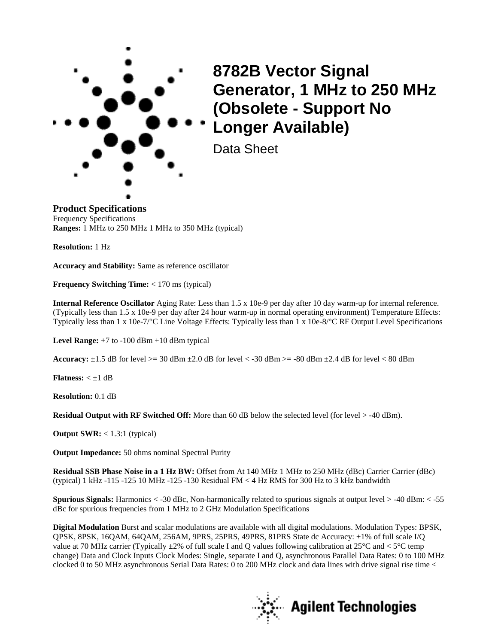

**8782B Vector Signal Generator, 1 MHz to 250 MHz (Obsolete - Support No Longer Available)**

Data Sheet

**Product Specifications** Frequency Specifications **Ranges:** 1 MHz to 250 MHz 1 MHz to 350 MHz (typical)

**Resolution:** 1 Hz

**Accuracy and Stability:** Same as reference oscillator

**Frequency Switching Time:** < 170 ms (typical)

**Internal Reference Oscillator** Aging Rate: Less than 1.5 x 10e-9 per day after 10 day warm-up for internal reference. (Typically less than 1.5 x 10e-9 per day after 24 hour warm-up in normal operating environment) Temperature Effects: Typically less than  $1 \times 10e-7$ <sup>o</sup>C Line Voltage Effects: Typically less than  $1 \times 10e-8$ <sup>o</sup>C RF Output Level Specifications

**Level Range:** +7 to -100 dBm +10 dBm typical

**Accuracy:**  $\pm 1.5$  dB for level  $>= 30$  dBm  $\pm 2.0$  dB for level  $< -30$  dBm  $>= -80$  dBm  $\pm 2.4$  dB for level  $< 80$  dBm

**Flatness:**  $\lt \pm 1$  dB

**Resolution:** 0.1 dB

**Residual Output with RF Switched Off:** More than 60 dB below the selected level (for level  $>$  -40 dBm).

**Output SWR:** < 1.3:1 (typical)

**Output Impedance:** 50 ohms nominal Spectral Purity

**Residual SSB Phase Noise in a 1 Hz BW:** Offset from At 140 MHz 1 MHz to 250 MHz (dBc) Carrier Carrier (dBc) (typical) 1 kHz -115 -125 10 MHz -125 -130 Residual FM < 4 Hz RMS for 300 Hz to 3 kHz bandwidth

**Spurious Signals:** Harmonics < -30 dBc, Non-harmonically related to spurious signals at output level > -40 dBm: < -55 dBc for spurious frequencies from 1 MHz to 2 GHz Modulation Specifications

**Digital Modulation** Burst and scalar modulations are available with all digital modulations. Modulation Types: BPSK, QPSK, 8PSK, 16QAM, 64QAM, 256AM, 9PRS, 25PRS, 49PRS, 81PRS State dc Accuracy: ±1% of full scale I/Q value at 70 MHz carrier (Typically  $\pm 2\%$  of full scale I and Q values following calibration at  $25^{\circ}$ C and  $< 5^{\circ}$ C temp change) Data and Clock Inputs Clock Modes: Single, separate I and Q, asynchronous Parallel Data Rates: 0 to 100 MHz clocked 0 to 50 MHz asynchronous Serial Data Rates: 0 to 200 MHz clock and data lines with drive signal rise time <